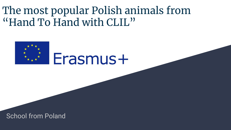## The most popular Polish animals from "Hand To Hand with CLIL"



School from Poland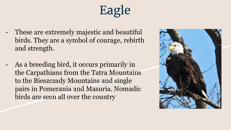Eagle

- These are extremely majestic and beautiful birds. They are a symbol of courage, rebirth and strength.
- As a breeding bird, it occurs primarily in the Carpathians from the Tatra Mountains to the Bieszczady Mountains and single pairs in Pomerania and Masuria. Nomadic birds are seen all over the country

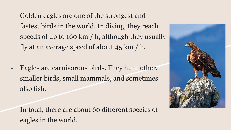- Golden eagles are one of the strongest and fastest birds in the world. In diving, they reach speeds of up to 160 km / h, although they usually fly at an average speed of about 45 km / h.
- Eagles are carnivorous birds. They hunt other, smaller birds, small mammals, and sometimes also fish.



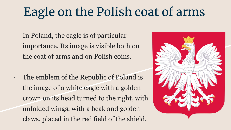## Eagle on the Polish coat of arms

- In Poland, the eagle is of particular importance. Its image is visible both on the coat of arms and on Polish coins.
- The emblem of the Republic of Poland is the image of a white eagle with a golden crown on its head turned to the right, with unfolded wings, with a beak and golden claws, placed in the red field of the shield.

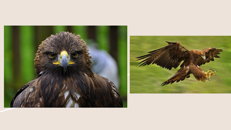

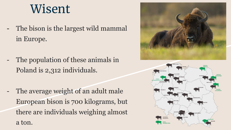## Wisent

- The bison is the largest wild mammal in Europe.
- The population of these animals in Poland is 2,312 individuals.
- The average weight of an adult male European bison is 700 kilograms, but there are individuals weighing almost a ton.



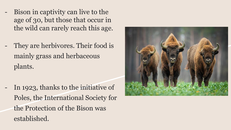- Bison in captivity can live to the age of 30, but those that occur in the wild can rarely reach this age.
- They are herbivores. Their food is mainly grass and herbaceous plants.
- In 1923, thanks to the initiative of Poles, the International Society for the Protection of the Bison was established.

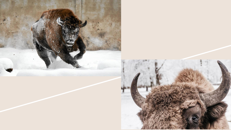